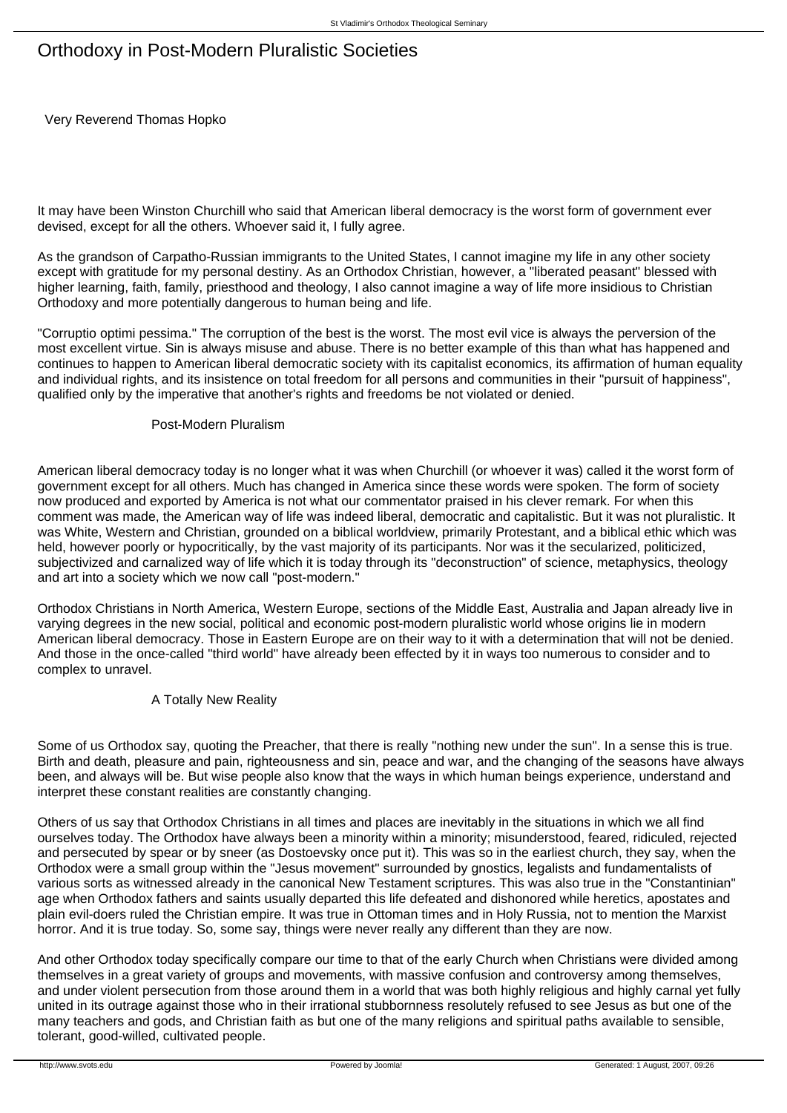# Orthodoxy in Post-Modern Pluralistic Societies

Very Reverend Thomas Hopko

It may have been Winston Churchill who said that American liberal democracy is the worst form of government ever devised, except for all the others. Whoever said it, I fully agree.

As the grandson of Carpatho-Russian immigrants to the United States, I cannot imagine my life in any other society except with gratitude for my personal destiny. As an Orthodox Christian, however, a "liberated peasant" blessed with higher learning, faith, family, priesthood and theology, I also cannot imagine a way of life more insidious to Christian Orthodoxy and more potentially dangerous to human being and life.

"Corruptio optimi pessima." The corruption of the best is the worst. The most evil vice is always the perversion of the most excellent virtue. Sin is always misuse and abuse. There is no better example of this than what has happened and continues to happen to American liberal democratic society with its capitalist economics, its affirmation of human equality and individual rights, and its insistence on total freedom for all persons and communities in their "pursuit of happiness", qualified only by the imperative that another's rights and freedoms be not violated or denied.

### Post-Modern Pluralism

American liberal democracy today is no longer what it was when Churchill (or whoever it was) called it the worst form of government except for all others. Much has changed in America since these words were spoken. The form of society now produced and exported by America is not what our commentator praised in his clever remark. For when this comment was made, the American way of life was indeed liberal, democratic and capitalistic. But it was not pluralistic. It was White, Western and Christian, grounded on a biblical worldview, primarily Protestant, and a biblical ethic which was held, however poorly or hypocritically, by the vast majority of its participants. Nor was it the secularized, politicized, subjectivized and carnalized way of life which it is today through its "deconstruction" of science, metaphysics, theology and art into a society which we now call "post-modern."

Orthodox Christians in North America, Western Europe, sections of the Middle East, Australia and Japan already live in varying degrees in the new social, political and economic post-modern pluralistic world whose origins lie in modern American liberal democracy. Those in Eastern Europe are on their way to it with a determination that will not be denied. And those in the once-called "third world" have already been effected by it in ways too numerous to consider and to complex to unravel.

## A Totally New Reality

Some of us Orthodox say, quoting the Preacher, that there is really "nothing new under the sun". In a sense this is true. Birth and death, pleasure and pain, righteousness and sin, peace and war, and the changing of the seasons have always been, and always will be. But wise people also know that the ways in which human beings experience, understand and interpret these constant realities are constantly changing.

Others of us say that Orthodox Christians in all times and places are inevitably in the situations in which we all find ourselves today. The Orthodox have always been a minority within a minority; misunderstood, feared, ridiculed, rejected and persecuted by spear or by sneer (as Dostoevsky once put it). This was so in the earliest church, they say, when the Orthodox were a small group within the "Jesus movement" surrounded by gnostics, legalists and fundamentalists of various sorts as witnessed already in the canonical New Testament scriptures. This was also true in the "Constantinian" age when Orthodox fathers and saints usually departed this life defeated and dishonored while heretics, apostates and plain evil-doers ruled the Christian empire. It was true in Ottoman times and in Holy Russia, not to mention the Marxist horror. And it is true today. So, some say, things were never really any different than they are now.

And other Orthodox today specifically compare our time to that of the early Church when Christians were divided among themselves in a great variety of groups and movements, with massive confusion and controversy among themselves, and under violent persecution from those around them in a world that was both highly religious and highly carnal yet fully united in its outrage against those who in their irrational stubbornness resolutely refused to see Jesus as but one of the many teachers and gods, and Christian faith as but one of the many religions and spiritual paths available to sensible, tolerant, good-willed, cultivated people.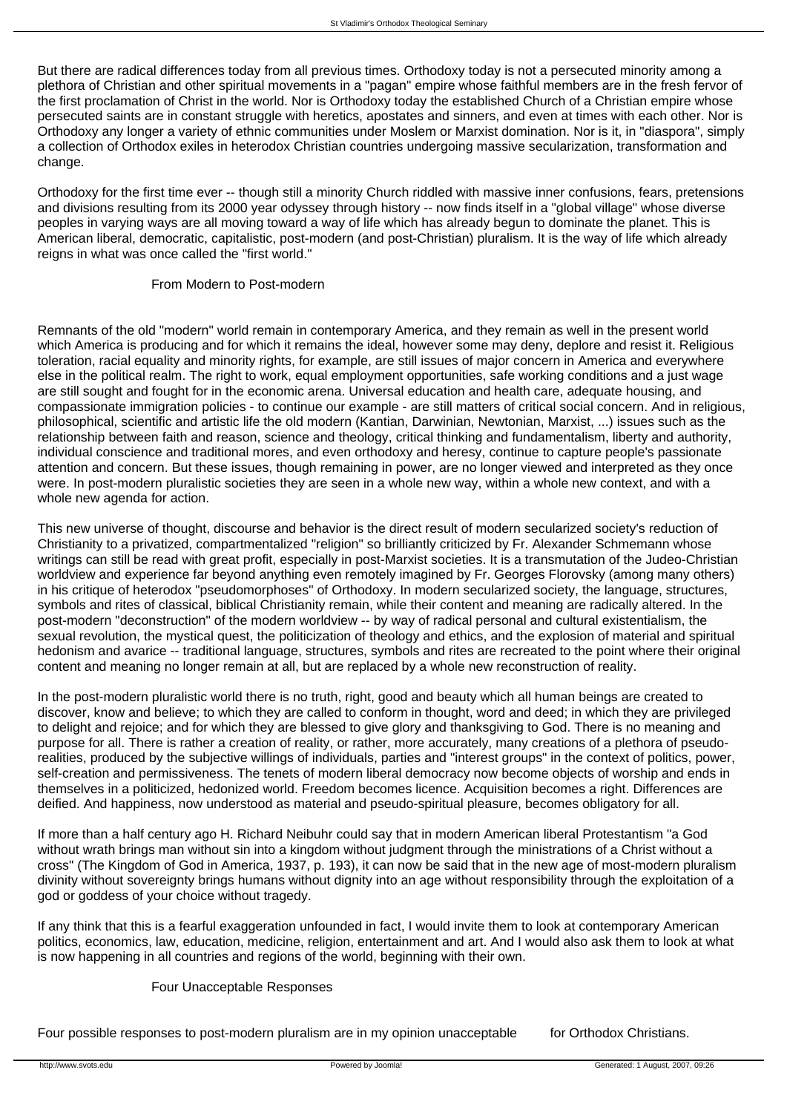But there are radical differences today from all previous times. Orthodoxy today is not a persecuted minority among a plethora of Christian and other spiritual movements in a "pagan" empire whose faithful members are in the fresh fervor of the first proclamation of Christ in the world. Nor is Orthodoxy today the established Church of a Christian empire whose persecuted saints are in constant struggle with heretics, apostates and sinners, and even at times with each other. Nor is Orthodoxy any longer a variety of ethnic communities under Moslem or Marxist domination. Nor is it, in "diaspora", simply a collection of Orthodox exiles in heterodox Christian countries undergoing massive secularization, transformation and change.

Orthodoxy for the first time ever -- though still a minority Church riddled with massive inner confusions, fears, pretensions and divisions resulting from its 2000 year odyssey through history -- now finds itself in a "global village" whose diverse peoples in varying ways are all moving toward a way of life which has already begun to dominate the planet. This is American liberal, democratic, capitalistic, post-modern (and post-Christian) pluralism. It is the way of life which already reigns in what was once called the "first world."

## From Modern to Post-modern

Remnants of the old "modern" world remain in contemporary America, and they remain as well in the present world which America is producing and for which it remains the ideal, however some may deny, deplore and resist it. Religious toleration, racial equality and minority rights, for example, are still issues of major concern in America and everywhere else in the political realm. The right to work, equal employment opportunities, safe working conditions and a just wage are still sought and fought for in the economic arena. Universal education and health care, adequate housing, and compassionate immigration policies - to continue our example - are still matters of critical social concern. And in religious, philosophical, scientific and artistic life the old modern (Kantian, Darwinian, Newtonian, Marxist, ...) issues such as the relationship between faith and reason, science and theology, critical thinking and fundamentalism, liberty and authority, individual conscience and traditional mores, and even orthodoxy and heresy, continue to capture people's passionate attention and concern. But these issues, though remaining in power, are no longer viewed and interpreted as they once were. In post-modern pluralistic societies they are seen in a whole new way, within a whole new context, and with a whole new agenda for action.

This new universe of thought, discourse and behavior is the direct result of modern secularized society's reduction of Christianity to a privatized, compartmentalized "religion" so brilliantly criticized by Fr. Alexander Schmemann whose writings can still be read with great profit, especially in post-Marxist societies. It is a transmutation of the Judeo-Christian worldview and experience far beyond anything even remotely imagined by Fr. Georges Florovsky (among many others) in his critique of heterodox "pseudomorphoses" of Orthodoxy. In modern secularized society, the language, structures, symbols and rites of classical, biblical Christianity remain, while their content and meaning are radically altered. In the post-modern "deconstruction" of the modern worldview -- by way of radical personal and cultural existentialism, the sexual revolution, the mystical quest, the politicization of theology and ethics, and the explosion of material and spiritual hedonism and avarice -- traditional language, structures, symbols and rites are recreated to the point where their original content and meaning no longer remain at all, but are replaced by a whole new reconstruction of reality.

In the post-modern pluralistic world there is no truth, right, good and beauty which all human beings are created to discover, know and believe; to which they are called to conform in thought, word and deed; in which they are privileged to delight and rejoice; and for which they are blessed to give glory and thanksgiving to God. There is no meaning and purpose for all. There is rather a creation of reality, or rather, more accurately, many creations of a plethora of pseudorealities, produced by the subjective willings of individuals, parties and "interest groups" in the context of politics, power, self-creation and permissiveness. The tenets of modern liberal democracy now become objects of worship and ends in themselves in a politicized, hedonized world. Freedom becomes licence. Acquisition becomes a right. Differences are deified. And happiness, now understood as material and pseudo-spiritual pleasure, becomes obligatory for all.

If more than a half century ago H. Richard Neibuhr could say that in modern American liberal Protestantism "a God without wrath brings man without sin into a kingdom without judgment through the ministrations of a Christ without a cross" (The Kingdom of God in America, 1937, p. 193), it can now be said that in the new age of most-modern pluralism divinity without sovereignty brings humans without dignity into an age without responsibility through the exploitation of a god or goddess of your choice without tragedy.

If any think that this is a fearful exaggeration unfounded in fact, I would invite them to look at contemporary American politics, economics, law, education, medicine, religion, entertainment and art. And I would also ask them to look at what is now happening in all countries and regions of the world, beginning with their own.

### Four Unacceptable Responses

Four possible responses to post-modern pluralism are in my opinion unacceptable for Orthodox Christians.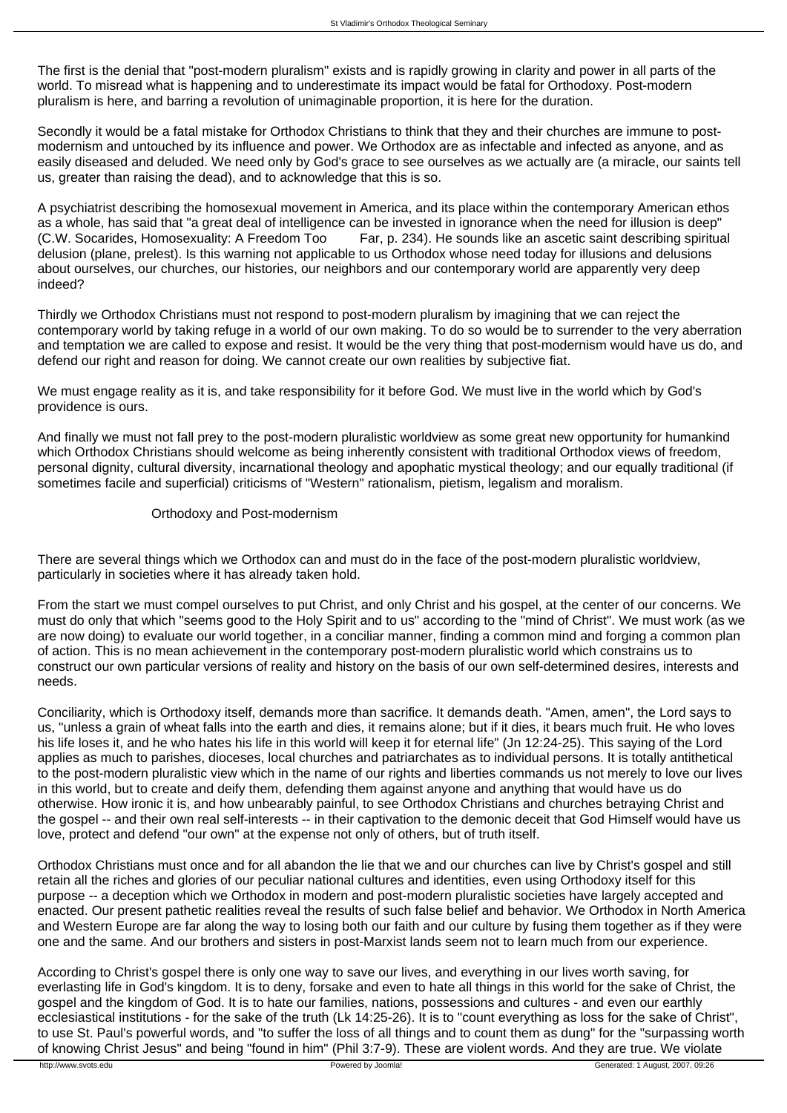The first is the denial that "post-modern pluralism" exists and is rapidly growing in clarity and power in all parts of the world. To misread what is happening and to underestimate its impact would be fatal for Orthodoxy. Post-modern pluralism is here, and barring a revolution of unimaginable proportion, it is here for the duration.

Secondly it would be a fatal mistake for Orthodox Christians to think that they and their churches are immune to postmodernism and untouched by its influence and power. We Orthodox are as infectable and infected as anyone, and as easily diseased and deluded. We need only by God's grace to see ourselves as we actually are (a miracle, our saints tell us, greater than raising the dead), and to acknowledge that this is so.

A psychiatrist describing the homosexual movement in America, and its place within the contemporary American ethos as a whole, has said that "a great deal of intelligence can be invested in ignorance when the need for illusion is deep"<br>(C.W. Socarides, Homosexuality: A Freedom Too Far, p. 234). He sounds like an ascetic saint describin Far, p. 234). He sounds like an ascetic saint describing spiritual delusion (plane, prelest). Is this warning not applicable to us Orthodox whose need today for illusions and delusions about ourselves, our churches, our histories, our neighbors and our contemporary world are apparently very deep indeed?

Thirdly we Orthodox Christians must not respond to post-modern pluralism by imagining that we can reject the contemporary world by taking refuge in a world of our own making. To do so would be to surrender to the very aberration and temptation we are called to expose and resist. It would be the very thing that post-modernism would have us do, and defend our right and reason for doing. We cannot create our own realities by subjective fiat.

We must engage reality as it is, and take responsibility for it before God. We must live in the world which by God's providence is ours.

And finally we must not fall prey to the post-modern pluralistic worldview as some great new opportunity for humankind which Orthodox Christians should welcome as being inherently consistent with traditional Orthodox views of freedom, personal dignity, cultural diversity, incarnational theology and apophatic mystical theology; and our equally traditional (if sometimes facile and superficial) criticisms of "Western" rationalism, pietism, legalism and moralism.

#### Orthodoxy and Post-modernism

There are several things which we Orthodox can and must do in the face of the post-modern pluralistic worldview, particularly in societies where it has already taken hold.

From the start we must compel ourselves to put Christ, and only Christ and his gospel, at the center of our concerns. We must do only that which "seems good to the Holy Spirit and to us" according to the "mind of Christ". We must work (as we are now doing) to evaluate our world together, in a conciliar manner, finding a common mind and forging a common plan of action. This is no mean achievement in the contemporary post-modern pluralistic world which constrains us to construct our own particular versions of reality and history on the basis of our own self-determined desires, interests and needs.

Conciliarity, which is Orthodoxy itself, demands more than sacrifice. It demands death. "Amen, amen", the Lord says to us, "unless a grain of wheat falls into the earth and dies, it remains alone; but if it dies, it bears much fruit. He who loves his life loses it, and he who hates his life in this world will keep it for eternal life" (Jn 12:24-25). This saying of the Lord applies as much to parishes, dioceses, local churches and patriarchates as to individual persons. It is totally antithetical to the post-modern pluralistic view which in the name of our rights and liberties commands us not merely to love our lives in this world, but to create and deify them, defending them against anyone and anything that would have us do otherwise. How ironic it is, and how unbearably painful, to see Orthodox Christians and churches betraying Christ and the gospel -- and their own real self-interests -- in their captivation to the demonic deceit that God Himself would have us love, protect and defend "our own" at the expense not only of others, but of truth itself.

Orthodox Christians must once and for all abandon the lie that we and our churches can live by Christ's gospel and still retain all the riches and glories of our peculiar national cultures and identities, even using Orthodoxy itself for this purpose -- a deception which we Orthodox in modern and post-modern pluralistic societies have largely accepted and enacted. Our present pathetic realities reveal the results of such false belief and behavior. We Orthodox in North America and Western Europe are far along the way to losing both our faith and our culture by fusing them together as if they were one and the same. And our brothers and sisters in post-Marxist lands seem not to learn much from our experience.

According to Christ's gospel there is only one way to save our lives, and everything in our lives worth saving, for everlasting life in God's kingdom. It is to deny, forsake and even to hate all things in this world for the sake of Christ, the gospel and the kingdom of God. It is to hate our families, nations, possessions and cultures - and even our earthly ecclesiastical institutions - for the sake of the truth (Lk 14:25-26). It is to "count everything as loss for the sake of Christ", to use St. Paul's powerful words, and "to suffer the loss of all things and to count them as dung" for the "surpassing worth of knowing Christ Jesus" and being "found in him" (Phil 3:7-9). These are violent words. And they are true. We violate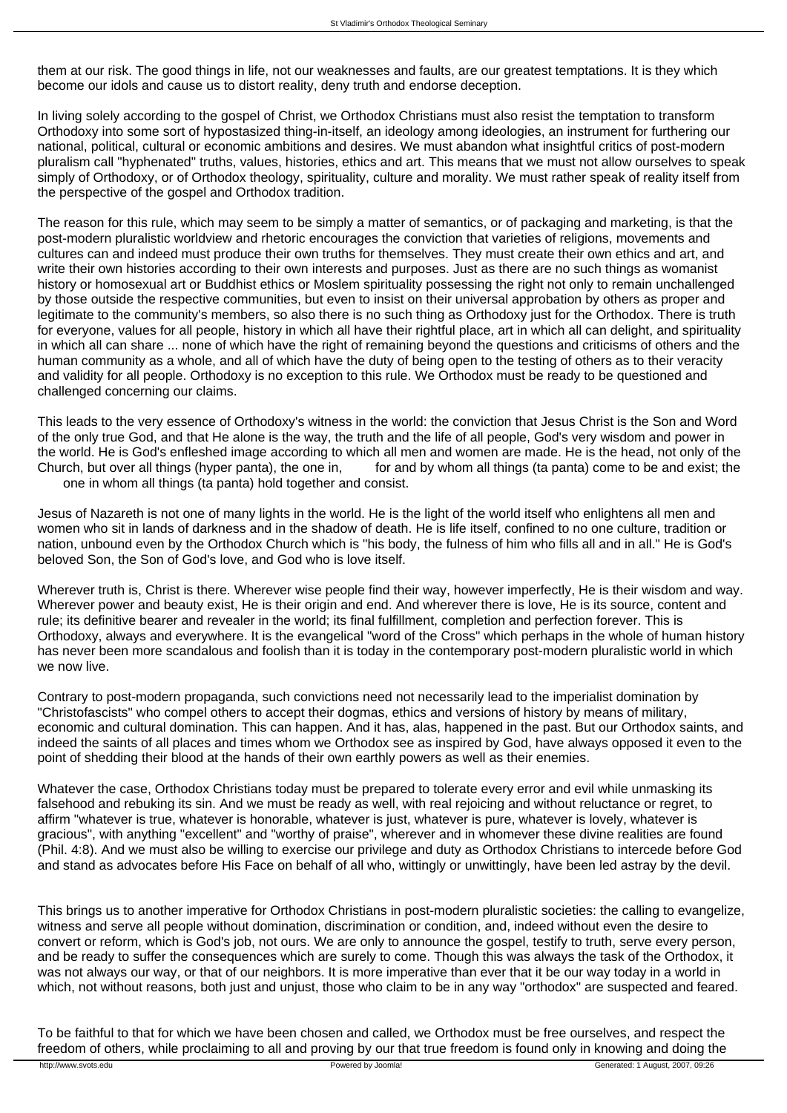them at our risk. The good things in life, not our weaknesses and faults, are our greatest temptations. It is they which become our idols and cause us to distort reality, deny truth and endorse deception.

In living solely according to the gospel of Christ, we Orthodox Christians must also resist the temptation to transform Orthodoxy into some sort of hypostasized thing-in-itself, an ideology among ideologies, an instrument for furthering our national, political, cultural or economic ambitions and desires. We must abandon what insightful critics of post-modern pluralism call "hyphenated" truths, values, histories, ethics and art. This means that we must not allow ourselves to speak simply of Orthodoxy, or of Orthodox theology, spirituality, culture and morality. We must rather speak of reality itself from the perspective of the gospel and Orthodox tradition.

The reason for this rule, which may seem to be simply a matter of semantics, or of packaging and marketing, is that the post-modern pluralistic worldview and rhetoric encourages the conviction that varieties of religions, movements and cultures can and indeed must produce their own truths for themselves. They must create their own ethics and art, and write their own histories according to their own interests and purposes. Just as there are no such things as womanist history or homosexual art or Buddhist ethics or Moslem spirituality possessing the right not only to remain unchallenged by those outside the respective communities, but even to insist on their universal approbation by others as proper and legitimate to the community's members, so also there is no such thing as Orthodoxy just for the Orthodox. There is truth for everyone, values for all people, history in which all have their rightful place, art in which all can delight, and spirituality in which all can share ... none of which have the right of remaining beyond the questions and criticisms of others and the human community as a whole, and all of which have the duty of being open to the testing of others as to their veracity and validity for all people. Orthodoxy is no exception to this rule. We Orthodox must be ready to be questioned and challenged concerning our claims.

This leads to the very essence of Orthodoxy's witness in the world: the conviction that Jesus Christ is the Son and Word of the only true God, and that He alone is the way, the truth and the life of all people, God's very wisdom and power in the world. He is God's enfleshed image according to which all men and women are made. He is the head, not only of the Church, but over all things (hyper panta), the one in, for and by whom all things (ta panta) come to be and exist; the one in whom all things (ta panta) hold together and consist.

Jesus of Nazareth is not one of many lights in the world. He is the light of the world itself who enlightens all men and women who sit in lands of darkness and in the shadow of death. He is life itself, confined to no one culture, tradition or nation, unbound even by the Orthodox Church which is "his body, the fulness of him who fills all and in all." He is God's beloved Son, the Son of God's love, and God who is love itself.

Wherever truth is, Christ is there. Wherever wise people find their way, however imperfectly. He is their wisdom and way. Wherever power and beauty exist. He is their origin and end. And wherever there is love. He is its source, content and rule; its definitive bearer and revealer in the world; its final fulfillment, completion and perfection forever. This is Orthodoxy, always and everywhere. It is the evangelical "word of the Cross" which perhaps in the whole of human history has never been more scandalous and foolish than it is today in the contemporary post-modern pluralistic world in which we now live.

Contrary to post-modern propaganda, such convictions need not necessarily lead to the imperialist domination by "Christofascists" who compel others to accept their dogmas, ethics and versions of history by means of military, economic and cultural domination. This can happen. And it has, alas, happened in the past. But our Orthodox saints, and indeed the saints of all places and times whom we Orthodox see as inspired by God, have always opposed it even to the point of shedding their blood at the hands of their own earthly powers as well as their enemies.

Whatever the case, Orthodox Christians today must be prepared to tolerate every error and evil while unmasking its falsehood and rebuking its sin. And we must be ready as well, with real rejoicing and without reluctance or regret, to affirm "whatever is true, whatever is honorable, whatever is just, whatever is pure, whatever is lovely, whatever is gracious", with anything "excellent" and "worthy of praise", wherever and in whomever these divine realities are found (Phil. 4:8). And we must also be willing to exercise our privilege and duty as Orthodox Christians to intercede before God and stand as advocates before His Face on behalf of all who, wittingly or unwittingly, have been led astray by the devil.

This brings us to another imperative for Orthodox Christians in post-modern pluralistic societies: the calling to evangelize, witness and serve all people without domination, discrimination or condition, and, indeed without even the desire to convert or reform, which is God's job, not ours. We are only to announce the gospel, testify to truth, serve every person, and be ready to suffer the consequences which are surely to come. Though this was always the task of the Orthodox, it was not always our way, or that of our neighbors. It is more imperative than ever that it be our way today in a world in which, not without reasons, both just and unjust, those who claim to be in any way "orthodox" are suspected and feared.

To be faithful to that for which we have been chosen and called, we Orthodox must be free ourselves, and respect the freedom of others, while proclaiming to all and proving by our that true freedom is found only in knowing and doing the